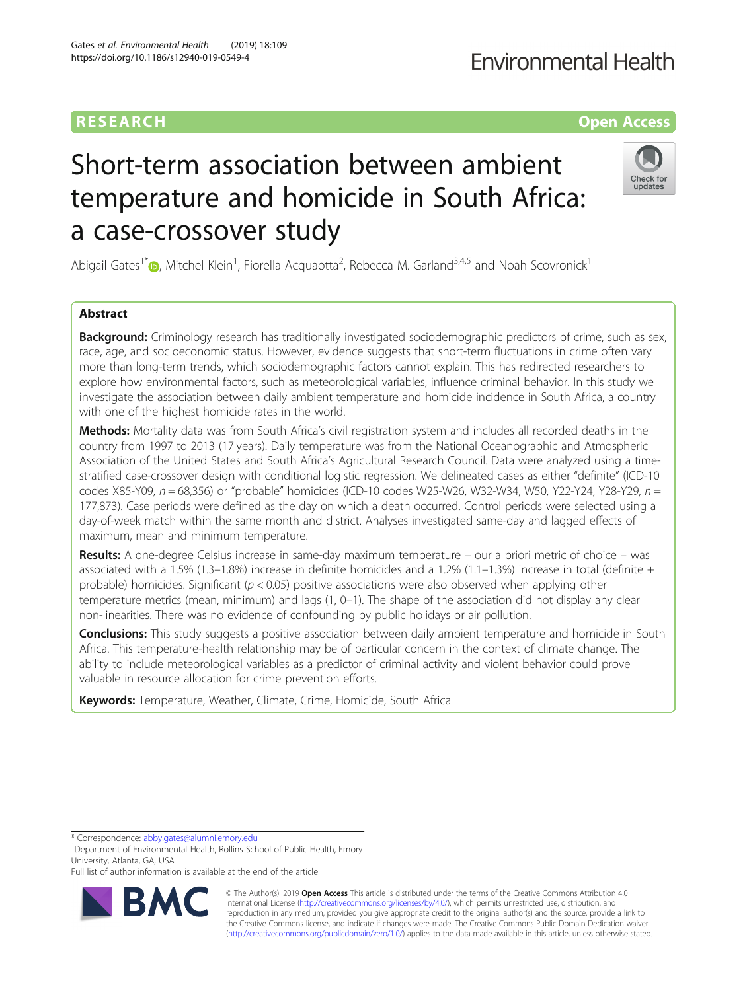# RESEARCH **RESEARCH CONSUMING THE CONSUMING THE CONSUMING THE CONSUMING TEAM Open Access**

# **Fnvironmental Health**

# Short-term association between ambient temperature and homicide in South Africa: a case-crossover study



Abigail Gates<sup>1[\\*](http://orcid.org/0000-0002-7123-2760)</sup> (D, Mitchel Klein<sup>1</sup>, Fiorella Acquaotta<sup>2</sup>, Rebecca M. Garland<sup>3,4,5</sup> and Noah Scovronick<sup>1</sup>

## Abstract

**Background:** Criminology research has traditionally investigated sociodemographic predictors of crime, such as sex, race, age, and socioeconomic status. However, evidence suggests that short-term fluctuations in crime often vary more than long-term trends, which sociodemographic factors cannot explain. This has redirected researchers to explore how environmental factors, such as meteorological variables, influence criminal behavior. In this study we investigate the association between daily ambient temperature and homicide incidence in South Africa, a country with one of the highest homicide rates in the world.

Methods: Mortality data was from South Africa's civil registration system and includes all recorded deaths in the country from 1997 to 2013 (17 years). Daily temperature was from the National Oceanographic and Atmospheric Association of the United States and South Africa's Agricultural Research Council. Data were analyzed using a timestratified case-crossover design with conditional logistic regression. We delineated cases as either "definite" (ICD-10 codes X85-Y09,  $n = 68,356$ ) or "probable" homicides (ICD-10 codes W25-W26, W32-W34, W50, Y22-Y24, Y28-Y29,  $n =$ 177,873). Case periods were defined as the day on which a death occurred. Control periods were selected using a day-of-week match within the same month and district. Analyses investigated same-day and lagged effects of maximum, mean and minimum temperature.

Results: A one-degree Celsius increase in same-day maximum temperature – our a priori metric of choice – was associated with a 1.5% (1.3–1.8%) increase in definite homicides and a 1.2% (1.1–1.3%) increase in total (definite + probable) homicides. Significant ( $p < 0.05$ ) positive associations were also observed when applying other temperature metrics (mean, minimum) and lags (1, 0–1). The shape of the association did not display any clear non-linearities. There was no evidence of confounding by public holidays or air pollution.

**Conclusions:** This study suggests a positive association between daily ambient temperature and homicide in South Africa. This temperature-health relationship may be of particular concern in the context of climate change. The ability to include meteorological variables as a predictor of criminal activity and violent behavior could prove valuable in resource allocation for crime prevention efforts.

Keywords: Temperature, Weather, Climate, Crime, Homicide, South Africa

\* Correspondence: [abby.gates@alumni.emory.edu](mailto:abby.gates@alumni.emory.edu) <sup>1</sup>

<sup>1</sup>Department of Environmental Health, Rollins School of Public Health, Emory University, Atlanta, GA, USA

Full list of author information is available at the end of the article



© The Author(s). 2019 **Open Access** This article is distributed under the terms of the Creative Commons Attribution 4.0 International License [\(http://creativecommons.org/licenses/by/4.0/](http://creativecommons.org/licenses/by/4.0/)), which permits unrestricted use, distribution, and reproduction in any medium, provided you give appropriate credit to the original author(s) and the source, provide a link to the Creative Commons license, and indicate if changes were made. The Creative Commons Public Domain Dedication waiver [\(http://creativecommons.org/publicdomain/zero/1.0/](http://creativecommons.org/publicdomain/zero/1.0/)) applies to the data made available in this article, unless otherwise stated.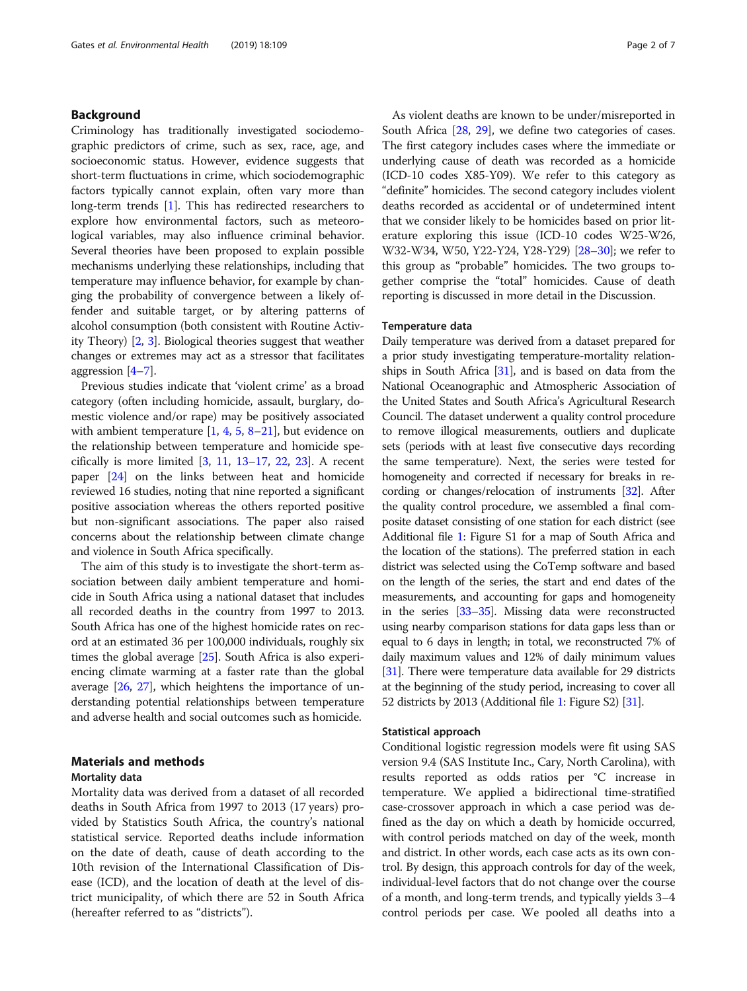### Background

Criminology has traditionally investigated sociodemographic predictors of crime, such as sex, race, age, and socioeconomic status. However, evidence suggests that short-term fluctuations in crime, which sociodemographic factors typically cannot explain, often vary more than long-term trends [[1\]](#page-5-0). This has redirected researchers to explore how environmental factors, such as meteorological variables, may also influence criminal behavior. Several theories have been proposed to explain possible mechanisms underlying these relationships, including that temperature may influence behavior, for example by changing the probability of convergence between a likely offender and suitable target, or by altering patterns of alcohol consumption (both consistent with Routine Activity Theory) [[2,](#page-5-0) [3\]](#page-5-0). Biological theories suggest that weather changes or extremes may act as a stressor that facilitates aggression [\[4](#page-5-0)–[7\]](#page-6-0).

Previous studies indicate that 'violent crime' as a broad category (often including homicide, assault, burglary, domestic violence and/or rape) may be positively associated with ambient temperature  $[1, 4, 5, 8-21]$  $[1, 4, 5, 8-21]$  $[1, 4, 5, 8-21]$  $[1, 4, 5, 8-21]$  $[1, 4, 5, 8-21]$  $[1, 4, 5, 8-21]$  $[1, 4, 5, 8-21]$  $[1, 4, 5, 8-21]$  $[1, 4, 5, 8-21]$ , but evidence on the relationship between temperature and homicide specifically is more limited  $[3, 11, 13-17, 22, 23]$  $[3, 11, 13-17, 22, 23]$  $[3, 11, 13-17, 22, 23]$  $[3, 11, 13-17, 22, 23]$  $[3, 11, 13-17, 22, 23]$  $[3, 11, 13-17, 22, 23]$  $[3, 11, 13-17, 22, 23]$  $[3, 11, 13-17, 22, 23]$  $[3, 11, 13-17, 22, 23]$  $[3, 11, 13-17, 22, 23]$  $[3, 11, 13-17, 22, 23]$  $[3, 11, 13-17, 22, 23]$ . A recent paper [[24](#page-6-0)] on the links between heat and homicide reviewed 16 studies, noting that nine reported a significant positive association whereas the others reported positive but non-significant associations. The paper also raised concerns about the relationship between climate change and violence in South Africa specifically.

The aim of this study is to investigate the short-term association between daily ambient temperature and homicide in South Africa using a national dataset that includes all recorded deaths in the country from 1997 to 2013. South Africa has one of the highest homicide rates on record at an estimated 36 per 100,000 individuals, roughly six times the global average [\[25\]](#page-6-0). South Africa is also experiencing climate warming at a faster rate than the global average [[26](#page-6-0), [27\]](#page-6-0), which heightens the importance of understanding potential relationships between temperature and adverse health and social outcomes such as homicide.

#### Materials and methods

#### Mortality data

Mortality data was derived from a dataset of all recorded deaths in South Africa from 1997 to 2013 (17 years) provided by Statistics South Africa, the country's national statistical service. Reported deaths include information on the date of death, cause of death according to the 10th revision of the International Classification of Disease (ICD), and the location of death at the level of district municipality, of which there are 52 in South Africa (hereafter referred to as "districts").

As violent deaths are known to be under/misreported in South Africa [[28](#page-6-0), [29](#page-6-0)], we define two categories of cases. The first category includes cases where the immediate or underlying cause of death was recorded as a homicide (ICD-10 codes X85-Y09). We refer to this category as "definite" homicides. The second category includes violent deaths recorded as accidental or of undetermined intent that we consider likely to be homicides based on prior literature exploring this issue (ICD-10 codes W25-W26, W32-W34, W50, Y22-Y24, Y28-Y29) [\[28](#page-6-0)–[30](#page-6-0)]; we refer to this group as "probable" homicides. The two groups together comprise the "total" homicides. Cause of death reporting is discussed in more detail in the Discussion.

#### Temperature data

Daily temperature was derived from a dataset prepared for a prior study investigating temperature-mortality relationships in South Africa  $[31]$  $[31]$ , and is based on data from the National Oceanographic and Atmospheric Association of the United States and South Africa's Agricultural Research Council. The dataset underwent a quality control procedure to remove illogical measurements, outliers and duplicate sets (periods with at least five consecutive days recording the same temperature). Next, the series were tested for homogeneity and corrected if necessary for breaks in recording or changes/relocation of instruments [\[32](#page-6-0)]. After the quality control procedure, we assembled a final composite dataset consisting of one station for each district (see Additional file [1](#page-5-0): Figure S1 for a map of South Africa and the location of the stations). The preferred station in each district was selected using the CoTemp software and based on the length of the series, the start and end dates of the measurements, and accounting for gaps and homogeneity in the series [\[33](#page-6-0)–[35](#page-6-0)]. Missing data were reconstructed using nearby comparison stations for data gaps less than or equal to 6 days in length; in total, we reconstructed 7% of daily maximum values and 12% of daily minimum values [[31](#page-6-0)]. There were temperature data available for 29 districts at the beginning of the study period, increasing to cover all 52 districts by 2013 (Additional file [1](#page-5-0): Figure S2) [\[31\]](#page-6-0).

#### Statistical approach

Conditional logistic regression models were fit using SAS version 9.4 (SAS Institute Inc., Cary, North Carolina), with results reported as odds ratios per °C increase in temperature. We applied a bidirectional time-stratified case-crossover approach in which a case period was defined as the day on which a death by homicide occurred, with control periods matched on day of the week, month and district. In other words, each case acts as its own control. By design, this approach controls for day of the week, individual-level factors that do not change over the course of a month, and long-term trends, and typically yields 3–4 control periods per case. We pooled all deaths into a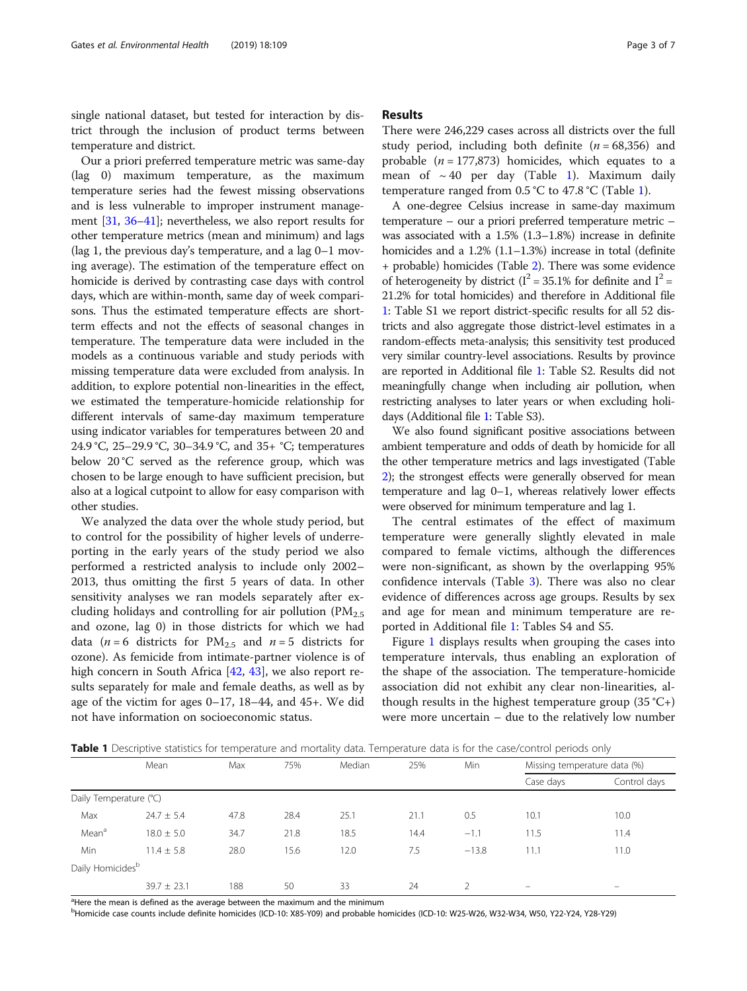single national dataset, but tested for interaction by district through the inclusion of product terms between temperature and district.

Our a priori preferred temperature metric was same-day (lag 0) maximum temperature, as the maximum temperature series had the fewest missing observations and is less vulnerable to improper instrument management [\[31,](#page-6-0) [36](#page-6-0)–[41](#page-6-0)]; nevertheless, we also report results for other temperature metrics (mean and minimum) and lags (lag 1, the previous day's temperature, and a lag 0–1 moving average). The estimation of the temperature effect on homicide is derived by contrasting case days with control days, which are within-month, same day of week comparisons. Thus the estimated temperature effects are shortterm effects and not the effects of seasonal changes in temperature. The temperature data were included in the models as a continuous variable and study periods with missing temperature data were excluded from analysis. In addition, to explore potential non-linearities in the effect, we estimated the temperature-homicide relationship for different intervals of same-day maximum temperature using indicator variables for temperatures between 20 and 24.9 °C, 25–29.9 °C, 30–34.9 °C, and 35+ °C; temperatures below 20 °C served as the reference group, which was chosen to be large enough to have sufficient precision, but also at a logical cutpoint to allow for easy comparison with other studies.

We analyzed the data over the whole study period, but to control for the possibility of higher levels of underreporting in the early years of the study period we also performed a restricted analysis to include only 2002– 2013, thus omitting the first 5 years of data. In other sensitivity analyses we ran models separately after excluding holidays and controlling for air pollution  $(PM_{2.5})$ and ozone, lag 0) in those districts for which we had data ( $n = 6$  districts for PM<sub>2.5</sub> and  $n = 5$  districts for ozone). As femicide from intimate-partner violence is of high concern in South Africa [\[42](#page-6-0), [43](#page-6-0)], we also report results separately for male and female deaths, as well as by age of the victim for ages 0–17, 18–44, and 45+. We did not have information on socioeconomic status.

#### Results

There were 246,229 cases across all districts over the full study period, including both definite  $(n = 68,356)$  and probable ( $n = 177,873$ ) homicides, which equates to a mean of  $\sim 40$  per day (Table 1). Maximum daily temperature ranged from  $0.5 \text{ }^{\circ}\text{C}$  to  $47.8 \text{ }^{\circ}\text{C}$  (Table 1).

A one-degree Celsius increase in same-day maximum temperature – our a priori preferred temperature metric – was associated with a 1.5% (1.3–1.8%) increase in definite homicides and a 1.2% (1.1–1.3%) increase in total (definite + probable) homicides (Table [2\)](#page-3-0). There was some evidence of heterogeneity by district ( $I^2 = 35.1\%$  for definite and  $I^2 =$ 21.2% for total homicides) and therefore in Additional file [1](#page-5-0): Table S1 we report district-specific results for all 52 districts and also aggregate those district-level estimates in a random-effects meta-analysis; this sensitivity test produced very similar country-level associations. Results by province are reported in Additional file [1](#page-5-0): Table S2. Results did not meaningfully change when including air pollution, when restricting analyses to later years or when excluding holidays (Additional file [1](#page-5-0): Table S3).

We also found significant positive associations between ambient temperature and odds of death by homicide for all the other temperature metrics and lags investigated (Table [2](#page-3-0)); the strongest effects were generally observed for mean temperature and lag 0–1, whereas relatively lower effects were observed for minimum temperature and lag 1.

The central estimates of the effect of maximum temperature were generally slightly elevated in male compared to female victims, although the differences were non-significant, as shown by the overlapping 95% confidence intervals (Table [3](#page-3-0)). There was also no clear evidence of differences across age groups. Results by sex and age for mean and minimum temperature are reported in Additional file [1:](#page-5-0) Tables S4 and S5.

Figure [1](#page-4-0) displays results when grouping the cases into temperature intervals, thus enabling an exploration of the shape of the association. The temperature-homicide association did not exhibit any clear non-linearities, although results in the highest temperature group  $(35 \text{ °C+})$ were more uncertain – due to the relatively low number

**Table 1** Descriptive statistics for temperature and mortality data. Temperature data is for the case/control periods only

|                              | Mean            | Max  | 75%  | Median | 25%  | Min           | Missing temperature data (%) |                          |
|------------------------------|-----------------|------|------|--------|------|---------------|------------------------------|--------------------------|
|                              |                 |      |      |        |      |               | Case days                    | Control days             |
| Daily Temperature (°C)       |                 |      |      |        |      |               |                              |                          |
| Max                          | $24.7 \pm 5.4$  | 47.8 | 28.4 | 25.1   | 21.1 | 0.5           | 10.1                         | 10.0                     |
| Mean <sup>a</sup>            | $18.0 \pm 5.0$  | 34.7 | 21.8 | 18.5   | 14.4 | $-1.1$        | 11.5                         | 11.4                     |
| Min                          | $11.4 \pm 5.8$  | 28.0 | 15.6 | 12.0   | 7.5  | $-13.8$       | 11.1                         | 11.0                     |
| Daily Homicides <sup>b</sup> |                 |      |      |        |      |               |                              |                          |
|                              | $39.7 \pm 23.1$ | 188  | 50   | 33     | 24   | $\mathcal{L}$ | $\overline{\phantom{a}}$     | $\overline{\phantom{0}}$ |

<sup>a</sup>Here the mean is defined as the average between the maximum and the minimum

b Homicide case counts include definite homicides (ICD-10: X85-Y09) and probable homicides (ICD-10: W25-W26, W32-W34, W50, Y22-Y24, Y28-Y29)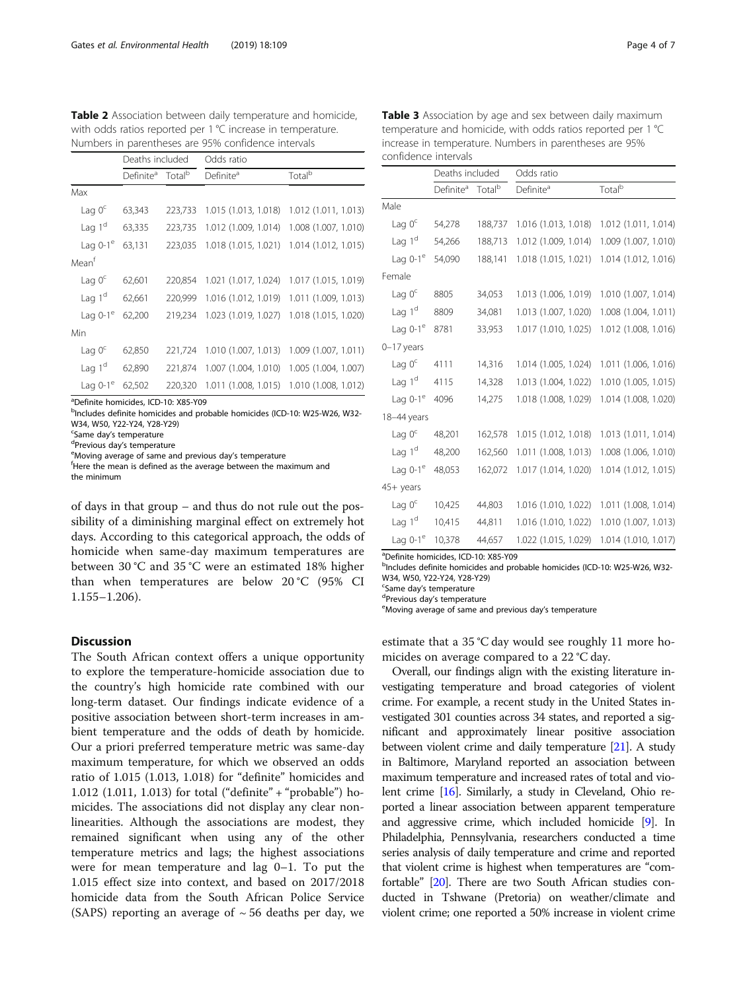<span id="page-3-0"></span>Table 2 Association between daily temperature and homicide, with odds ratios reported per 1 °C increase in temperature. Numbers in parentheses are 95% confidence intervals

|                   | Deaths included       |                    | Odds ratio            |                      |  |
|-------------------|-----------------------|--------------------|-----------------------|----------------------|--|
|                   | Definite <sup>a</sup> | Total <sup>b</sup> | Definite <sup>a</sup> | Total <sup>b</sup>   |  |
| Max               |                       |                    |                       |                      |  |
| Lag $0c$          | 63,343                | 223,733            | 1.015 (1.013, 1.018)  | 1.012 (1.011, 1.013) |  |
| Lag $1d$          | 63,335                | 223,735            | 1.012 (1.009, 1.014)  | 1.008 (1.007, 1.010) |  |
| Lag $0-1^\circ$   | 63,131                | 223,035            | 1.018 (1.015, 1.021)  | 1.014 (1.012, 1.015) |  |
| Mean <sup>t</sup> |                       |                    |                       |                      |  |
| Lag $0^{\circ}$   | 62,601                | 220,854            | 1.021 (1.017, 1.024)  | 1.017 (1.015, 1.019) |  |
| Lag $1d$          | 62,661                | 220,999            | 1.016 (1.012, 1.019)  | 1.011 (1.009, 1.013) |  |
| Lag $0-1^\circ$   | 62,200                | 219.234            | 1.023 (1.019, 1.027)  | 1.018 (1.015, 1.020) |  |
| Min               |                       |                    |                       |                      |  |
| Lag $0c$          | 62,850                | 221,724            | 1.010 (1.007, 1.013)  | 1.009 (1.007, 1.011) |  |
| Lag $1d$          | 62,890                | 221.874            | 1.007 (1.004, 1.010)  | 1.005 (1.004, 1.007) |  |
| Lag $0-1^\circ$   | 62,502                | 220,320            | 1.011 (1.008, 1.015)  | 1.010 (1.008, 1.012) |  |

a Definite homicides, ICD-10: X85-Y09

<sup>b</sup>Includes definite homicides and probable homicides (ICD-10: W25-W26, W32-W34, W50, Y22-Y24, Y28-Y29)

<sup>c</sup>Same day's temperature<br><sup>d</sup>Provieus day's temperat

<sup>d</sup>Previous day's temperature

eMoving average of same and previous day's temperature

fHere the mean is defined as the average between the maximum and the minimum

of days in that group – and thus do not rule out the possibility of a diminishing marginal effect on extremely hot days. According to this categorical approach, the odds of homicide when same-day maximum temperatures are between 30 °C and 35 °C were an estimated 18% higher than when temperatures are below 20 °C (95% CI 1.155–1.206).

### **Discussion**

The South African context offers a unique opportunity to explore the temperature-homicide association due to the country's high homicide rate combined with our long-term dataset. Our findings indicate evidence of a positive association between short-term increases in ambient temperature and the odds of death by homicide. Our a priori preferred temperature metric was same-day maximum temperature, for which we observed an odds ratio of 1.015 (1.013, 1.018) for "definite" homicides and 1.012 (1.011, 1.013) for total ("definite" + "probable") homicides. The associations did not display any clear nonlinearities. Although the associations are modest, they remained significant when using any of the other temperature metrics and lags; the highest associations were for mean temperature and lag 0–1. To put the 1.015 effect size into context, and based on 2017/2018 homicide data from the South African Police Service (SAPS) reporting an average of  $\sim$  56 deaths per day, we

| Table 3 Association by age and sex between daily maximum     |
|--------------------------------------------------------------|
| temperature and homicide, with odds ratios reported per 1 °C |

increase in temperature. Numbers in parentheses are 95%

|                        | Deaths included       |                    | Odds ratio            |                      |  |
|------------------------|-----------------------|--------------------|-----------------------|----------------------|--|
|                        | Definite <sup>a</sup> | Total <sup>b</sup> | Definite <sup>a</sup> | Total <sup>b</sup>   |  |
| Male                   |                       |                    |                       |                      |  |
| Lag $0c$               | 54,278                | 188,737            | 1.016 (1.013, 1.018)  | 1.012 (1.011, 1.014) |  |
| Lag $1d$               | 54,266                | 188,713            | 1.012 (1.009, 1.014)  | 1.009 (1.007, 1.010) |  |
| Lag $0-1^\circ$        | 54,090                | 188,141            | 1.018 (1.015, 1.021)  | 1.014 (1.012, 1.016) |  |
| Female                 |                       |                    |                       |                      |  |
| Lag $0c$               | 8805                  | 34,053             | 1.013 (1.006, 1.019)  | 1.010 (1.007, 1.014) |  |
| Lag $1d$               | 8809                  | 34,081             | 1.013 (1.007, 1.020)  | 1.008 (1.004, 1.011) |  |
| Lag $0-1$ <sup>e</sup> | 8781                  | 33,953             | 1.017 (1.010, 1.025)  | 1.012 (1.008, 1.016) |  |
| $0-17$ years           |                       |                    |                       |                      |  |
| Lag $0c$               | 4111                  | 14,316             | 1.014 (1.005, 1.024)  | 1.011 (1.006, 1.016) |  |
| Lag $1d$               | 4115                  | 14,328             | 1.013 (1.004, 1.022)  | 1.010 (1.005, 1.015) |  |
| Lag $0-1^\circ$        | 4096                  | 14,275             | 1.018 (1.008, 1.029)  | 1.014 (1.008, 1.020) |  |
| 18-44 years            |                       |                    |                       |                      |  |
| Lag $0c$               | 48,201                | 162,578            | 1.015 (1.012, 1.018)  | 1.013 (1.011, 1.014) |  |
| Lag $1d$               | 48,200                | 162,560            | 1.011 (1.008, 1.013)  | 1.008 (1.006, 1.010) |  |
| Lag $0-1^\circ$        | 48,053                | 162,072            | 1.017 (1.014, 1.020)  | 1.014 (1.012, 1.015) |  |
| $45+$ years            |                       |                    |                       |                      |  |
| Lag $0c$               | 10,425                | 44,803             | 1.016 (1.010, 1.022)  | 1.011 (1.008, 1.014) |  |
| Lag $1d$               | 10,415                | 44,811             | 1.016 (1.010, 1.022)  | 1.010 (1.007, 1.013) |  |
| Lag $0-1$ <sup>e</sup> | 10,378                | 44,657             | 1.022 (1.015, 1.029)  | 1.014 (1.010, 1.017) |  |

a Definite homicides, ICD-10: X85-Y09

bIncludes definite homicides and probable homicides (ICD-10: W25-W26, W32-W34, W50, Y22-Y24, Y28-Y29)

<sup>c</sup>Same day's temperature <sup>c</sup>Same day's temperature<br><sup>d</sup>Provieus day's temperat

confidence intervals

<sup>d</sup>Previous day's temperature

Moving average of same and previous day's temperature

estimate that a 35 °C day would see roughly 11 more homicides on average compared to a 22 °C day.

Overall, our findings align with the existing literature investigating temperature and broad categories of violent crime. For example, a recent study in the United States investigated 301 counties across 34 states, and reported a significant and approximately linear positive association between violent crime and daily temperature [[21](#page-6-0)]. A study in Baltimore, Maryland reported an association between maximum temperature and increased rates of total and violent crime [\[16\]](#page-6-0). Similarly, a study in Cleveland, Ohio reported a linear association between apparent temperature and aggressive crime, which included homicide [\[9](#page-6-0)]. In Philadelphia, Pennsylvania, researchers conducted a time series analysis of daily temperature and crime and reported that violent crime is highest when temperatures are "comfortable" [\[20\]](#page-6-0). There are two South African studies conducted in Tshwane (Pretoria) on weather/climate and violent crime; one reported a 50% increase in violent crime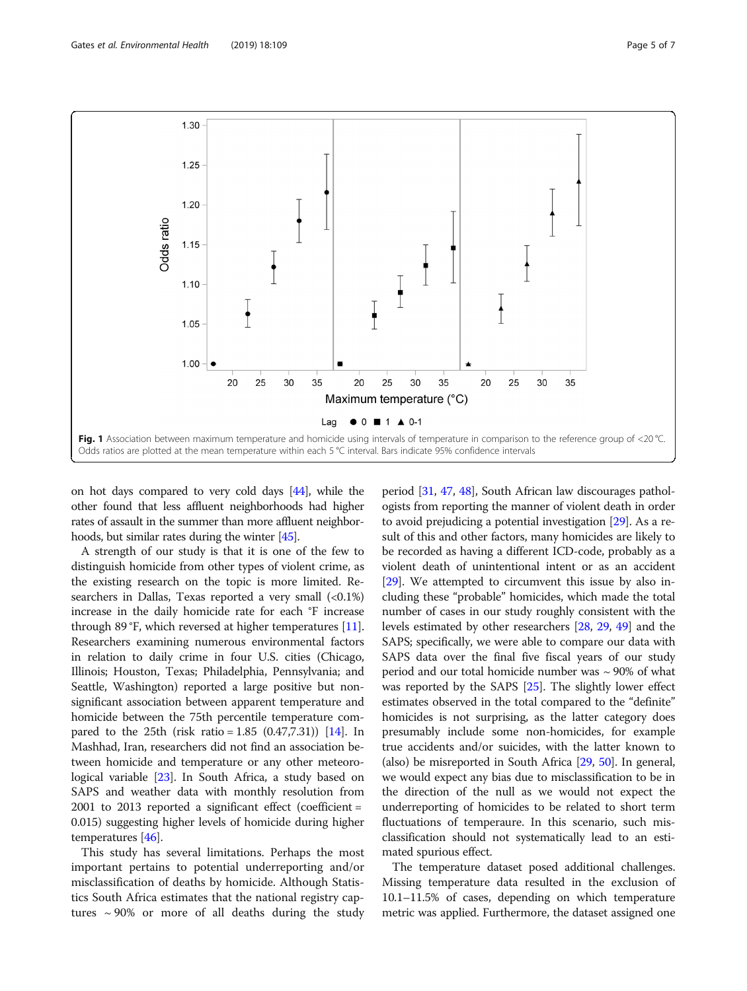<span id="page-4-0"></span>

on hot days compared to very cold days [[44](#page-6-0)], while the other found that less affluent neighborhoods had higher rates of assault in the summer than more affluent neighborhoods, but similar rates during the winter [[45](#page-6-0)].

A strength of our study is that it is one of the few to distinguish homicide from other types of violent crime, as the existing research on the topic is more limited. Researchers in Dallas, Texas reported a very small  $\langle 0.1\% \rangle$ increase in the daily homicide rate for each °F increase through 89 °F, which reversed at higher temperatures [[11](#page-6-0)]. Researchers examining numerous environmental factors in relation to daily crime in four U.S. cities (Chicago, Illinois; Houston, Texas; Philadelphia, Pennsylvania; and Seattle, Washington) reported a large positive but nonsignificant association between apparent temperature and homicide between the 75th percentile temperature compared to the 25th (risk ratio =  $1.85$  (0.47,7.31)) [\[14\]](#page-6-0). In Mashhad, Iran, researchers did not find an association between homicide and temperature or any other meteorological variable [[23](#page-6-0)]. In South Africa, a study based on SAPS and weather data with monthly resolution from 2001 to 2013 reported a significant effect (coefficient = 0.015) suggesting higher levels of homicide during higher temperatures [\[46\]](#page-6-0).

This study has several limitations. Perhaps the most important pertains to potential underreporting and/or misclassification of deaths by homicide. Although Statistics South Africa estimates that the national registry captures  $\sim$  90% or more of all deaths during the study

period [[31](#page-6-0), [47](#page-6-0), [48\]](#page-6-0), South African law discourages pathologists from reporting the manner of violent death in order to avoid prejudicing a potential investigation [\[29\]](#page-6-0). As a result of this and other factors, many homicides are likely to be recorded as having a different ICD-code, probably as a violent death of unintentional intent or as an accident [[29](#page-6-0)]. We attempted to circumvent this issue by also including these "probable" homicides, which made the total number of cases in our study roughly consistent with the levels estimated by other researchers [\[28,](#page-6-0) [29,](#page-6-0) [49\]](#page-6-0) and the SAPS; specifically, we were able to compare our data with SAPS data over the final five fiscal years of our study period and our total homicide number was  $\sim$  90% of what was reported by the SAPS [\[25\]](#page-6-0). The slightly lower effect estimates observed in the total compared to the "definite" homicides is not surprising, as the latter category does presumably include some non-homicides, for example true accidents and/or suicides, with the latter known to (also) be misreported in South Africa [[29](#page-6-0), [50](#page-6-0)]. In general, we would expect any bias due to misclassification to be in the direction of the null as we would not expect the underreporting of homicides to be related to short term fluctuations of temperaure. In this scenario, such misclassification should not systematically lead to an estimated spurious effect.

The temperature dataset posed additional challenges. Missing temperature data resulted in the exclusion of 10.1–11.5% of cases, depending on which temperature metric was applied. Furthermore, the dataset assigned one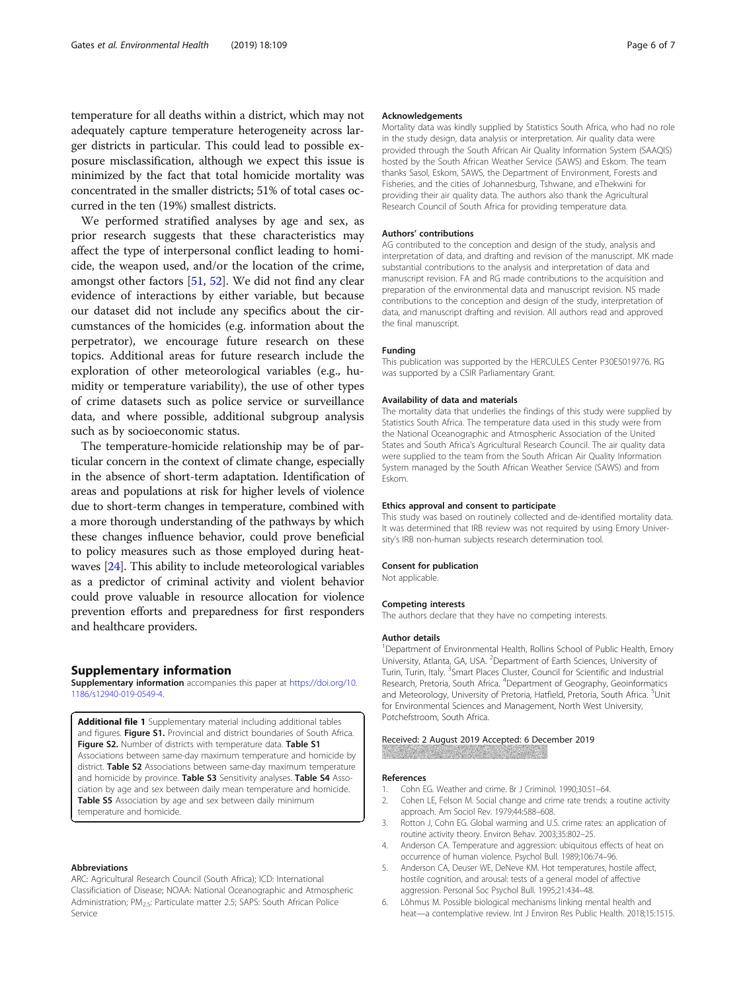<span id="page-5-0"></span>temperature for all deaths within a district, which may not adequately capture temperature heterogeneity across larger districts in particular. This could lead to possible exposure misclassification, although we expect this issue is minimized by the fact that total homicide mortality was concentrated in the smaller districts; 51% of total cases occurred in the ten (19%) smallest districts.

We performed stratified analyses by age and sex, as prior research suggests that these characteristics may affect the type of interpersonal conflict leading to homicide, the weapon used, and/or the location of the crime, amongst other factors [\[51](#page-6-0), [52](#page-6-0)]. We did not find any clear evidence of interactions by either variable, but because our dataset did not include any specifics about the circumstances of the homicides (e.g. information about the perpetrator), we encourage future research on these topics. Additional areas for future research include the exploration of other meteorological variables (e.g., humidity or temperature variability), the use of other types of crime datasets such as police service or surveillance data, and where possible, additional subgroup analysis such as by socioeconomic status.

The temperature-homicide relationship may be of particular concern in the context of climate change, especially in the absence of short-term adaptation. Identification of areas and populations at risk for higher levels of violence due to short-term changes in temperature, combined with a more thorough understanding of the pathways by which these changes influence behavior, could prove beneficial to policy measures such as those employed during heatwaves [\[24\]](#page-6-0). This ability to include meteorological variables as a predictor of criminal activity and violent behavior could prove valuable in resource allocation for violence prevention efforts and preparedness for first responders and healthcare providers.

#### Supplementary information

Supplementary information accompanies this paper at [https://doi.org/10.](https://doi.org/10.1186/s12940-019-0549-4) [1186/s12940-019-0549-4.](https://doi.org/10.1186/s12940-019-0549-4)

Additional file 1 Supplementary material including additional tables and figures. Figure S1. Provincial and district boundaries of South Africa. Figure S2. Number of districts with temperature data. Table S1 Associations between same-day maximum temperature and homicide by district. Table S2 Associations between same-day maximum temperature and homicide by province. Table S3 Sensitivity analyses. Table S4 Association by age and sex between daily mean temperature and homicide. Table S5 Association by age and sex between daily minimum temperature and homicide.

#### Abbreviations

ARC: Agricultural Research Council (South Africa); ICD: International Classificiation of Disease; NOAA: National Oceanographic and Atmospheric Administration; PM<sub>2.5</sub>: Particulate matter 2.5; SAPS: South African Police Service

#### Acknowledgements

Mortality data was kindly supplied by Statistics South Africa, who had no role in the study design, data analysis or interpretation. Air quality data were provided through the South African Air Quality Information System (SAAQIS) hosted by the South African Weather Service (SAWS) and Eskom. The team thanks Sasol, Eskom, SAWS, the Department of Environment, Forests and Fisheries, and the cities of Johannesburg, Tshwane, and eThekwini for providing their air quality data. The authors also thank the Agricultural Research Council of South Africa for providing temperature data.

#### Authors' contributions

AG contributed to the conception and design of the study, analysis and interpretation of data, and drafting and revision of the manuscript. MK made substantial contributions to the analysis and interpretation of data and manuscript revision. FA and RG made contributions to the acquisition and preparation of the environmental data and manuscript revision. NS made contributions to the conception and design of the study, interpretation of data, and manuscript drafting and revision. All authors read and approved the final manuscript.

#### Funding

This publication was supported by the HERCULES Center P30ES019776. RG was supported by a CSIR Parliamentary Grant.

#### Availability of data and materials

The mortality data that underlies the findings of this study were supplied by Statistics South Africa. The temperature data used in this study were from the National Oceanographic and Atmospheric Association of the United States and South Africa's Agricultural Research Council. The air quality data were supplied to the team from the South African Air Quality Information System managed by the South African Weather Service (SAWS) and from Eskom.

#### Ethics approval and consent to participate

This study was based on routinely collected and de-identified mortality data. It was determined that IRB review was not required by using Emory University's IRB non-human subjects research determination tool.

#### Consent for publication

Not applicable.

#### Competing interests

The authors declare that they have no competing interests.

#### Author details

<sup>1</sup>Department of Environmental Health, Rollins School of Public Health, Emory University, Atlanta, GA, USA. <sup>2</sup> Department of Earth Sciences, University of Turin, Turin, Italy. <sup>3</sup>Smart Places Cluster, Council for Scientific and Industrial Research, Pretoria, South Africa. <sup>4</sup>Department of Geography, Geoinformatics and Meteorology, University of Pretoria, Hatfield, Pretoria, South Africa. <sup>5</sup>Unit for Environmental Sciences and Management, North West University, Potchefstroom, South Africa.

#### Received: 2 August 2019 Accepted: 6 December 2019

#### References

- 1. Cohn EG. Weather and crime. Br J Criminol. 1990;30:51–64.
- 2. Cohen LE, Felson M. Social change and crime rate trends: a routine activity approach. Am Sociol Rev. 1979;44:588–608.
- 3. Rotton J, Cohn EG. Global warming and U.S. crime rates: an application of routine activity theory. Environ Behav. 2003;35:802–25.
- 4. Anderson CA. Temperature and aggression: ubiquitous effects of heat on occurrence of human violence. Psychol Bull. 1989;106:74–96.
- Anderson CA, Deuser WE, DeNeve KM. Hot temperatures, hostile affect, hostile cognition, and arousal: tests of a general model of affective aggression. Personal Soc Psychol Bull. 1995;21:434–48.
- 6. Lõhmus M. Possible biological mechanisms linking mental health and heat—a contemplative review. Int J Environ Res Public Health. 2018;15:1515.